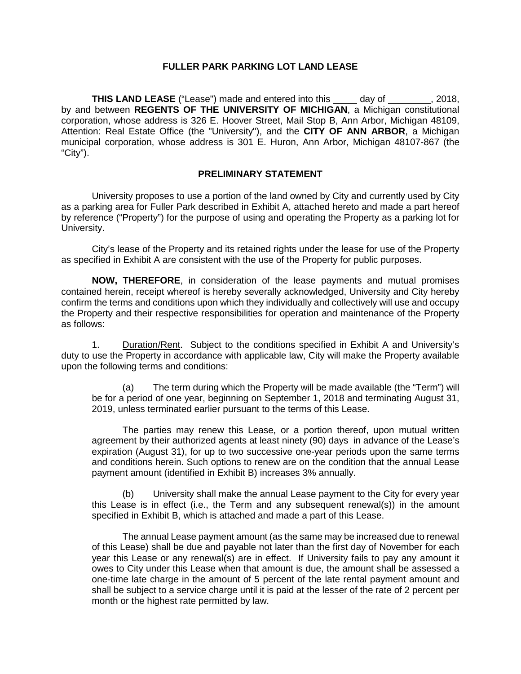## **FULLER PARK PARKING LOT LAND LEASE**

**THIS LAND LEASE** ("Lease") made and entered into this day of , 2018, by and between **REGENTS OF THE UNIVERSITY OF MICHIGAN**, a Michigan constitutional corporation, whose address is 326 E. Hoover Street, Mail Stop B, Ann Arbor, Michigan 48109, Attention: Real Estate Office (the "University"), and the **CITY OF ANN ARBOR**, a Michigan municipal corporation, whose address is 301 E. Huron, Ann Arbor, Michigan 48107-867 (the "City").

#### **PRELIMINARY STATEMENT**

University proposes to use a portion of the land owned by City and currently used by City as a parking area for Fuller Park described in Exhibit A, attached hereto and made a part hereof by reference ("Property") for the purpose of using and operating the Property as a parking lot for University.

City's lease of the Property and its retained rights under the lease for use of the Property as specified in Exhibit A are consistent with the use of the Property for public purposes.

**NOW, THEREFORE**, in consideration of the lease payments and mutual promises contained herein, receipt whereof is hereby severally acknowledged, University and City hereby confirm the terms and conditions upon which they individually and collectively will use and occupy the Property and their respective responsibilities for operation and maintenance of the Property as follows:

1. Duration/Rent. Subject to the conditions specified in Exhibit A and University's duty to use the Property in accordance with applicable law, City will make the Property available upon the following terms and conditions:

(a) The term during which the Property will be made available (the "Term") will be for a period of one year, beginning on September 1, 2018 and terminating August 31, 2019, unless terminated earlier pursuant to the terms of this Lease.

The parties may renew this Lease, or a portion thereof, upon mutual written agreement by their authorized agents at least ninety (90) days in advance of the Lease's expiration (August 31), for up to two successive one-year periods upon the same terms and conditions herein. Such options to renew are on the condition that the annual Lease payment amount (identified in Exhibit B) increases 3% annually.

(b) University shall make the annual Lease payment to the City for every year this Lease is in effect (i.e., the Term and any subsequent renewal(s)) in the amount specified in Exhibit B, which is attached and made a part of this Lease.

The annual Lease payment amount (as the same may be increased due to renewal of this Lease) shall be due and payable not later than the first day of November for each year this Lease or any renewal(s) are in effect. If University fails to pay any amount it owes to City under this Lease when that amount is due, the amount shall be assessed a one-time late charge in the amount of 5 percent of the late rental payment amount and shall be subject to a service charge until it is paid at the lesser of the rate of 2 percent per month or the highest rate permitted by law.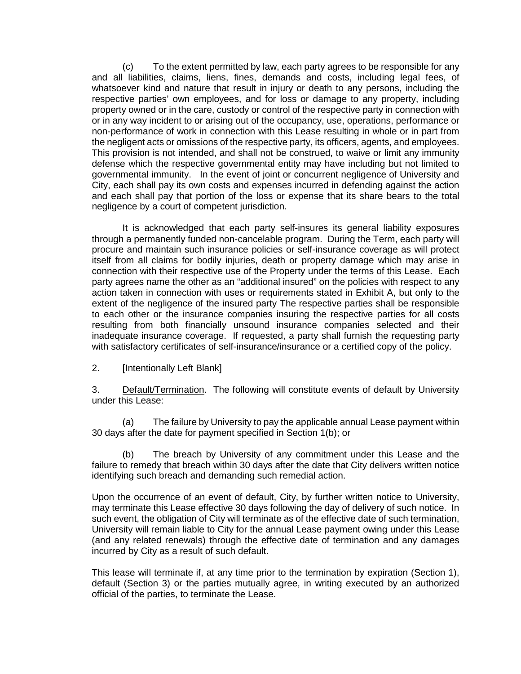(c) To the extent permitted by law, each party agrees to be responsible for any and all liabilities, claims, liens, fines, demands and costs, including legal fees, of whatsoever kind and nature that result in injury or death to any persons, including the respective parties' own employees, and for loss or damage to any property, including property owned or in the care, custody or control of the respective party in connection with or in any way incident to or arising out of the occupancy, use, operations, performance or non-performance of work in connection with this Lease resulting in whole or in part from the negligent acts or omissions of the respective party, its officers, agents, and employees. This provision is not intended, and shall not be construed, to waive or limit any immunity defense which the respective governmental entity may have including but not limited to governmental immunity. In the event of joint or concurrent negligence of University and City, each shall pay its own costs and expenses incurred in defending against the action and each shall pay that portion of the loss or expense that its share bears to the total negligence by a court of competent jurisdiction.

It is acknowledged that each party self-insures its general liability exposures through a permanently funded non-cancelable program. During the Term, each party will procure and maintain such insurance policies or self-insurance coverage as will protect itself from all claims for bodily injuries, death or property damage which may arise in connection with their respective use of the Property under the terms of this Lease. Each party agrees name the other as an "additional insured" on the policies with respect to any action taken in connection with uses or requirements stated in Exhibit A, but only to the extent of the negligence of the insured party The respective parties shall be responsible to each other or the insurance companies insuring the respective parties for all costs resulting from both financially unsound insurance companies selected and their inadequate insurance coverage. If requested, a party shall furnish the requesting party with satisfactory certificates of self-insurance/insurance or a certified copy of the policy.

2. [Intentionally Left Blank]

3. Default/Termination. The following will constitute events of default by University under this Lease:

(a) The failure by University to pay the applicable annual Lease payment within 30 days after the date for payment specified in Section 1(b); or

(b) The breach by University of any commitment under this Lease and the failure to remedy that breach within 30 days after the date that City delivers written notice identifying such breach and demanding such remedial action.

Upon the occurrence of an event of default, City, by further written notice to University, may terminate this Lease effective 30 days following the day of delivery of such notice. In such event, the obligation of City will terminate as of the effective date of such termination, University will remain liable to City for the annual Lease payment owing under this Lease (and any related renewals) through the effective date of termination and any damages incurred by City as a result of such default.

This lease will terminate if, at any time prior to the termination by expiration (Section 1), default (Section 3) or the parties mutually agree, in writing executed by an authorized official of the parties, to terminate the Lease.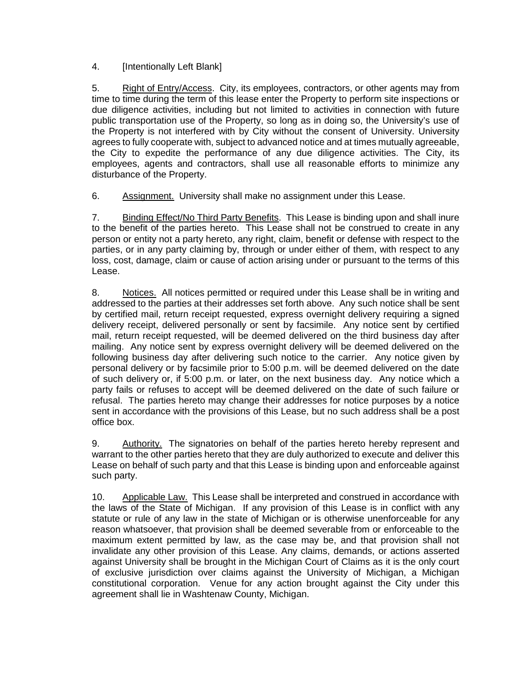4. [Intentionally Left Blank]

5. Right of Entry/Access. City, its employees, contractors, or other agents may from time to time during the term of this lease enter the Property to perform site inspections or due diligence activities, including but not limited to activities in connection with future public transportation use of the Property, so long as in doing so, the University's use of the Property is not interfered with by City without the consent of University. University agrees to fully cooperate with, subject to advanced notice and at times mutually agreeable, the City to expedite the performance of any due diligence activities. The City, its employees, agents and contractors, shall use all reasonable efforts to minimize any disturbance of the Property.

6. Assignment. University shall make no assignment under this Lease.

7. Binding Effect/No Third Party Benefits.This Lease is binding upon and shall inure to the benefit of the parties hereto. This Lease shall not be construed to create in any person or entity not a party hereto, any right, claim, benefit or defense with respect to the parties, or in any party claiming by, through or under either of them, with respect to any loss, cost, damage, claim or cause of action arising under or pursuant to the terms of this Lease.

8. Notices. All notices permitted or required under this Lease shall be in writing and addressed to the parties at their addresses set forth above. Any such notice shall be sent by certified mail, return receipt requested, express overnight delivery requiring a signed delivery receipt, delivered personally or sent by facsimile. Any notice sent by certified mail, return receipt requested, will be deemed delivered on the third business day after mailing. Any notice sent by express overnight delivery will be deemed delivered on the following business day after delivering such notice to the carrier. Any notice given by personal delivery or by facsimile prior to 5:00 p.m. will be deemed delivered on the date of such delivery or, if 5:00 p.m. or later, on the next business day. Any notice which a party fails or refuses to accept will be deemed delivered on the date of such failure or refusal. The parties hereto may change their addresses for notice purposes by a notice sent in accordance with the provisions of this Lease, but no such address shall be a post office box.

9. Authority. The signatories on behalf of the parties hereto hereby represent and warrant to the other parties hereto that they are duly authorized to execute and deliver this Lease on behalf of such party and that this Lease is binding upon and enforceable against such party.

10. Applicable Law. This Lease shall be interpreted and construed in accordance with the laws of the State of Michigan. If any provision of this Lease is in conflict with any statute or rule of any law in the state of Michigan or is otherwise unenforceable for any reason whatsoever, that provision shall be deemed severable from or enforceable to the maximum extent permitted by law, as the case may be, and that provision shall not invalidate any other provision of this Lease. Any claims, demands, or actions asserted against University shall be brought in the Michigan Court of Claims as it is the only court of exclusive jurisdiction over claims against the University of Michigan, a Michigan constitutional corporation. Venue for any action brought against the City under this agreement shall lie in Washtenaw County, Michigan.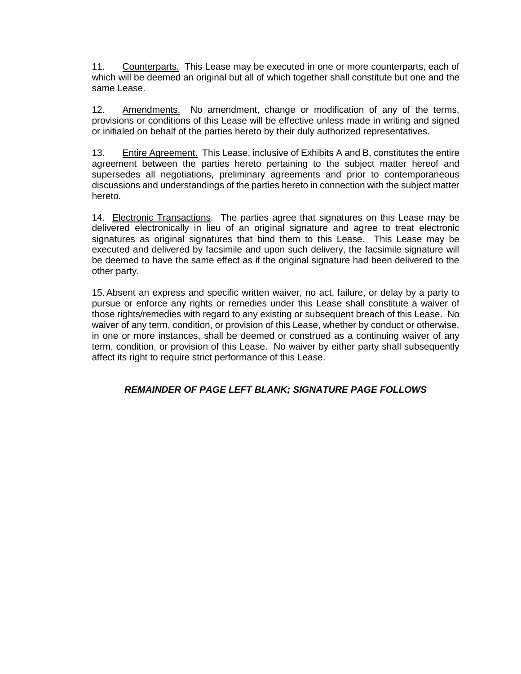11. Counterparts. This Lease may be executed in one or more counterparts, each of which will be deemed an original but all of which together shall constitute but one and the same Lease.

12. Amendments. No amendment, change or modification of any of the terms, provisions or conditions of this Lease will be effective unless made in writing and signed or initialed on behalf of the parties hereto by their duly authorized representatives.

13. Entire Agreement. This Lease, inclusive of Exhibits A and B, constitutes the entire agreement between the parties hereto pertaining to the subject matter hereof and supersedes all negotiations, preliminary agreements and prior to contemporaneous discussions and understandings of the parties hereto in connection with the subject matter hereto.

14. Electronic Transactions. The parties agree that signatures on this Lease may be delivered electronically in lieu of an original signature and agree to treat electronic signatures as original signatures that bind them to this Lease. This Lease may be executed and delivered by facsimile and upon such delivery, the facsimile signature will be deemed to have the same effect as if the original signature had been delivered to the other party.

15.Absent an express and specific written waiver, no act, failure, or delay by a party to pursue or enforce any rights or remedies under this Lease shall constitute a waiver of those rights/remedies with regard to any existing or subsequent breach of this Lease. No waiver of any term, condition, or provision of this Lease, whether by conduct or otherwise, in one or more instances, shall be deemed or construed as a continuing waiver of any term, condition, or provision of this Lease. No waiver by either party shall subsequently affect its right to require strict performance of this Lease.

## *REMAINDER OF PAGE LEFT BLANK; SIGNATURE PAGE FOLLOWS*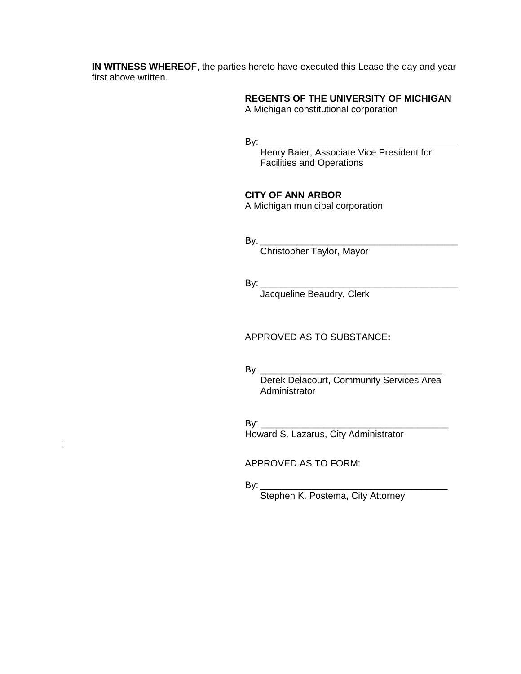**IN WITNESS WHEREOF**, the parties hereto have executed this Lease the day and year first above written.

# **REGENTS OF THE UNIVERSITY OF MICHIGAN**

A Michigan constitutional corporation

By:

Henry Baier, Associate Vice President for Facilities and Operations

#### **CITY OF ANN ARBOR**

A Michigan municipal corporation

By: \_\_\_\_\_\_\_\_\_\_\_\_\_\_\_\_\_\_\_\_\_\_\_\_\_\_\_\_\_\_\_\_\_\_\_\_\_\_

Christopher Taylor, Mayor

By: \_\_\_\_\_\_\_\_\_\_\_\_\_\_\_\_\_\_\_\_\_\_\_\_\_\_\_\_\_\_\_\_\_\_\_\_\_\_

Jacqueline Beaudry, Clerk

APPROVED AS TO SUBSTANCE**:**

By: \_\_\_\_\_\_\_\_\_\_\_\_\_\_\_\_\_\_\_\_\_\_\_\_\_\_\_\_\_\_\_\_\_\_\_

Derek Delacourt, Community Services Area **Administrator** 

By: \_\_\_\_\_\_\_\_\_\_\_\_\_\_\_\_\_\_\_\_\_\_\_\_\_\_\_\_\_\_\_\_\_\_\_\_

Howard S. Lazarus, City Administrator

 $\overline{[}$ 

APPROVED AS TO FORM:

By: \_\_\_\_\_\_\_\_\_\_\_\_\_\_\_\_\_\_\_\_\_\_\_\_\_\_\_\_\_\_\_\_\_\_\_\_

Stephen K. Postema, City Attorney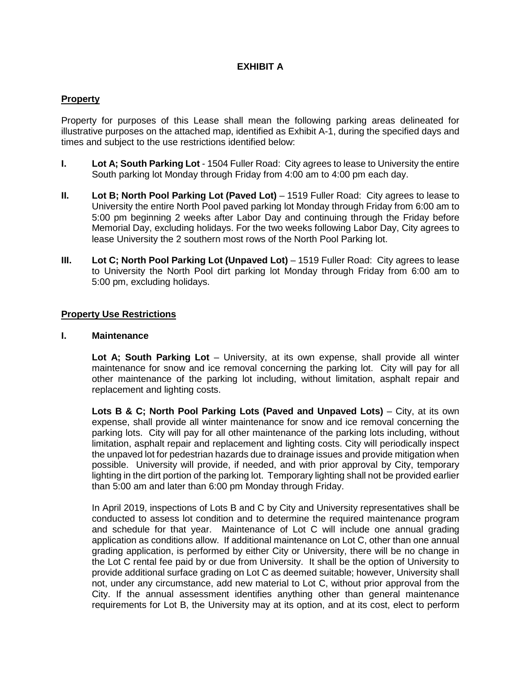### **EXHIBIT A**

#### **Property**

Property for purposes of this Lease shall mean the following parking areas delineated for illustrative purposes on the attached map, identified as Exhibit A-1, during the specified days and times and subject to the use restrictions identified below:

- **I. Lot A; South Parking Lot** 1504 Fuller Road: City agrees to lease to University the entire South parking lot Monday through Friday from 4:00 am to 4:00 pm each day.
- **II. Lot B; North Pool Parking Lot (Paved Lot)** 1519 Fuller Road: City agrees to lease to University the entire North Pool paved parking lot Monday through Friday from 6:00 am to 5:00 pm beginning 2 weeks after Labor Day and continuing through the Friday before Memorial Day, excluding holidays. For the two weeks following Labor Day, City agrees to lease University the 2 southern most rows of the North Pool Parking lot.
- **III.** Lot C; North Pool Parking Lot (Unpaved Lot) 1519 Fuller Road: City agrees to lease to University the North Pool dirt parking lot Monday through Friday from 6:00 am to 5:00 pm, excluding holidays.

#### **Property Use Restrictions**

#### **I. Maintenance**

**Lot A; South Parking Lot** – University, at its own expense, shall provide all winter maintenance for snow and ice removal concerning the parking lot. City will pay for all other maintenance of the parking lot including, without limitation, asphalt repair and replacement and lighting costs.

**Lots B & C; North Pool Parking Lots (Paved and Unpaved Lots)** – City, at its own expense, shall provide all winter maintenance for snow and ice removal concerning the parking lots. City will pay for all other maintenance of the parking lots including, without limitation, asphalt repair and replacement and lighting costs. City will periodically inspect the unpaved lot for pedestrian hazards due to drainage issues and provide mitigation when possible. University will provide, if needed, and with prior approval by City, temporary lighting in the dirt portion of the parking lot. Temporary lighting shall not be provided earlier than 5:00 am and later than 6:00 pm Monday through Friday.

In April 2019, inspections of Lots B and C by City and University representatives shall be conducted to assess lot condition and to determine the required maintenance program and schedule for that year. Maintenance of Lot C will include one annual grading application as conditions allow. If additional maintenance on Lot C, other than one annual grading application, is performed by either City or University, there will be no change in the Lot C rental fee paid by or due from University. It shall be the option of University to provide additional surface grading on Lot C as deemed suitable; however, University shall not, under any circumstance, add new material to Lot C, without prior approval from the City. If the annual assessment identifies anything other than general maintenance requirements for Lot B, the University may at its option, and at its cost, elect to perform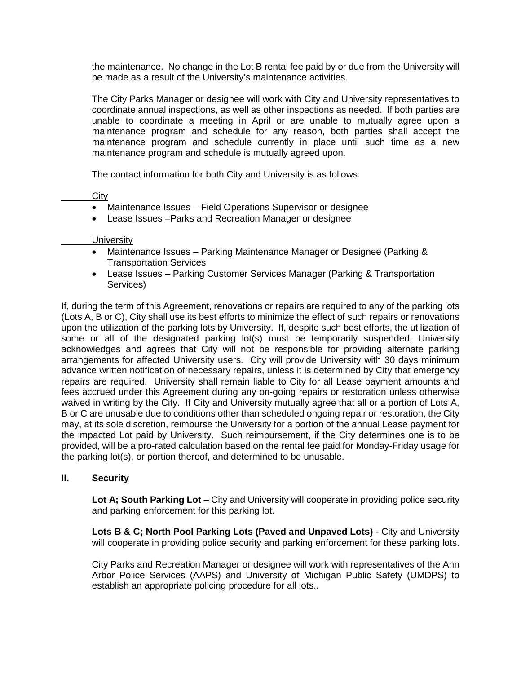the maintenance. No change in the Lot B rental fee paid by or due from the University will be made as a result of the University's maintenance activities.

The City Parks Manager or designee will work with City and University representatives to coordinate annual inspections, as well as other inspections as needed. If both parties are unable to coordinate a meeting in April or are unable to mutually agree upon a maintenance program and schedule for any reason, both parties shall accept the maintenance program and schedule currently in place until such time as a new maintenance program and schedule is mutually agreed upon.

The contact information for both City and University is as follows:

#### **City**

- Maintenance Issues Field Operations Supervisor or designee
- Lease Issues –Parks and Recreation Manager or designee

#### **University**

- Maintenance Issues Parking Maintenance Manager or Designee (Parking & Transportation Services
- Lease Issues Parking Customer Services Manager (Parking & Transportation Services)

If, during the term of this Agreement, renovations or repairs are required to any of the parking lots (Lots A, B or C), City shall use its best efforts to minimize the effect of such repairs or renovations upon the utilization of the parking lots by University. If, despite such best efforts, the utilization of some or all of the designated parking lot(s) must be temporarily suspended, University acknowledges and agrees that City will not be responsible for providing alternate parking arrangements for affected University users. City will provide University with 30 days minimum advance written notification of necessary repairs, unless it is determined by City that emergency repairs are required. University shall remain liable to City for all Lease payment amounts and fees accrued under this Agreement during any on-going repairs or restoration unless otherwise waived in writing by the City. If City and University mutually agree that all or a portion of Lots A, B or C are unusable due to conditions other than scheduled ongoing repair or restoration, the City may, at its sole discretion, reimburse the University for a portion of the annual Lease payment for the impacted Lot paid by University. Such reimbursement, if the City determines one is to be provided, will be a pro-rated calculation based on the rental fee paid for Monday-Friday usage for the parking lot(s), or portion thereof, and determined to be unusable.

#### **II. Security**

**Lot A; South Parking Lot** – City and University will cooperate in providing police security and parking enforcement for this parking lot.

**Lots B & C; North Pool Parking Lots (Paved and Unpaved Lots)** - City and University will cooperate in providing police security and parking enforcement for these parking lots.

City Parks and Recreation Manager or designee will work with representatives of the Ann Arbor Police Services (AAPS) and University of Michigan Public Safety (UMDPS) to establish an appropriate policing procedure for all lots..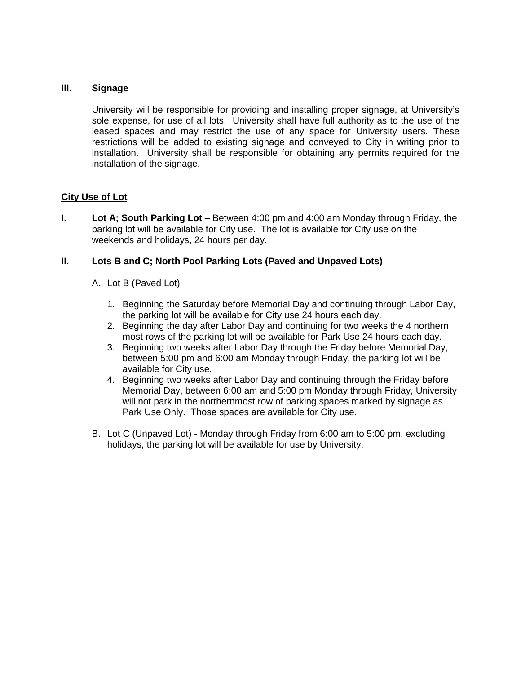#### **III. Signage**

University will be responsible for providing and installing proper signage, at University's sole expense, for use of all lots. University shall have full authority as to the use of the leased spaces and may restrict the use of any space for University users. These restrictions will be added to existing signage and conveyed to City in writing prior to installation. University shall be responsible for obtaining any permits required for the installation of the signage.

#### **City Use of Lot**

**I. Lot A; South Parking Lot** – Between 4:00 pm and 4:00 am Monday through Friday, the parking lot will be available for City use. The lot is available for City use on the weekends and holidays, 24 hours per day.

#### **II. Lots B and C; North Pool Parking Lots (Paved and Unpaved Lots)**

- A. Lot B (Paved Lot)
	- 1. Beginning the Saturday before Memorial Day and continuing through Labor Day, the parking lot will be available for City use 24 hours each day.
	- 2. Beginning the day after Labor Day and continuing for two weeks the 4 northern most rows of the parking lot will be available for Park Use 24 hours each day.
	- 3. Beginning two weeks after Labor Day through the Friday before Memorial Day, between 5:00 pm and 6:00 am Monday through Friday, the parking lot will be available for City use.
	- 4. Beginning two weeks after Labor Day and continuing through the Friday before Memorial Day, between 6:00 am and 5:00 pm Monday through Friday, University will not park in the northernmost row of parking spaces marked by signage as Park Use Only. Those spaces are available for City use.
- B. Lot C (Unpaved Lot) Monday through Friday from 6:00 am to 5:00 pm, excluding holidays, the parking lot will be available for use by University.